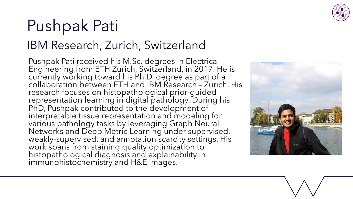

## Pushpak Pati IBM Research, Zurich, Switzerland

Pushpak Pati received his M.Sc. degrees in Electrical<br>Engineering from ETH Zurich, Switzerland, in 2017. He is currently working toward his Ph.D. degree as part of a collaboration between ETH and IBM Research – Zurich. His research focuses on histopathological prior-guided<br>representation learning in digital pathology. During his PhD, Pushpak contributed to the development of<br>interpretable tissue representation and modeling for various pathology tasks by leveraging Graph Neural Networks and Deep Metric Learning under supervised, weakly-supervised, and annotation scarcity settings. His<br>work spans from staining quality optimization to work spans from staining quality optimization to<br>histopathological diagnosis and explainability in immunohistochemistry and H&E images.